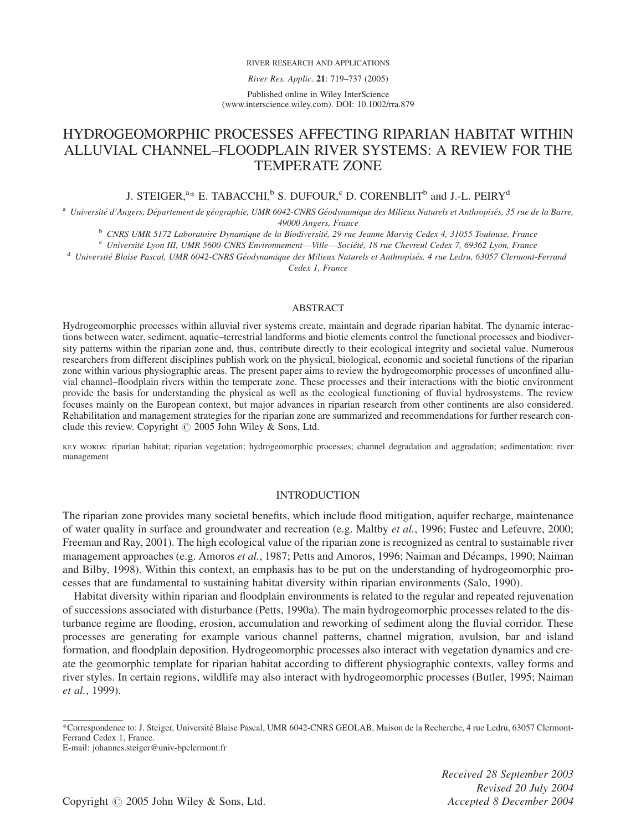#### RIVER RESEARCH AND APPLICATIONS

River Res. Applic. 21: 719–737 (2005)

Published online in Wiley InterScience (www.interscience.wiley.com). DOI: 10.1002/rra.879

# HYDROGEOMORPHIC PROCESSES AFFECTING RIPARIAN HABITAT WITHIN ALLUVIAL CHANNEL–FLOODPLAIN RIVER SYSTEMS: A REVIEW FOR THE TEMPERATE ZONE

# J. STEIGER, $a*$  E. TABACCHI, $^{\rm b}$  S. DUFOUR, $^{\rm c}$  D. CORENBLIT $^{\rm b}$  and J.-L. PEIRY $^{\rm d}$

<sup>a</sup> Université d'Angers, Département de géographie, UMR 6042-CNRS Géodynamique des Milieux Naturels et Anthropisés, 35 rue de la Barre, 49000 Angers, France

<sup>b</sup> CNRS UMR 5172 Laboratoire Dynamique de la Biodiversité, 29 rue Jeanne Marvig Cedex 4, 31055 Toulouse, France

 $c$  Université Lyon III, UMR 5600-CNRS Environnement—Ville—Société, 18 rue Chevreul Cedex 7, 69362 Lyon, France

<sup>d</sup> Université Blaise Pascal, UMR 6042-CNRS Géodynamique des Milieux Naturels et Anthropisés, 4 rue Ledru, 63057 Clermont-Ferrand Cedex 1, France

# ABSTRACT

Hydrogeomorphic processes within alluvial river systems create, maintain and degrade riparian habitat. The dynamic interactions between water, sediment, aquatic–terrestrial landforms and biotic elements control the functional processes and biodiversity patterns within the riparian zone and, thus, contribute directly to their ecological integrity and societal value. Numerous researchers from different disciplines publish work on the physical, biological, economic and societal functions of the riparian zone within various physiographic areas. The present paper aims to review the hydrogeomorphic processes of unconfined alluvial channel–floodplain rivers within the temperate zone. These processes and their interactions with the biotic environment provide the basis for understanding the physical as well as the ecological functioning of fluvial hydrosystems. The review focuses mainly on the European context, but major advances in riparian research from other continents are also considered. Rehabilitation and management strategies for the riparian zone are summarized and recommendations for further research conclude this review. Copyright  $\odot$  2005 John Wiley & Sons, Ltd.

key words: riparian habitat; riparian vegetation; hydrogeomorphic processes; channel degradation and aggradation; sedimentation; river management

### INTRODUCTION

The riparian zone provides many societal benefits, which include flood mitigation, aquifer recharge, maintenance of water quality in surface and groundwater and recreation (e.g. Maltby et al., 1996; Fustec and Lefeuvre, 2000; Freeman and Ray, 2001). The high ecological value of the riparian zone is recognized as central to sustainable river management approaches (e.g. Amoros et al., 1987; Petts and Amoros, 1996; Naiman and Décamps, 1990; Naiman and Bilby, 1998). Within this context, an emphasis has to be put on the understanding of hydrogeomorphic processes that are fundamental to sustaining habitat diversity within riparian environments (Salo, 1990).

Habitat diversity within riparian and floodplain environments is related to the regular and repeated rejuvenation of successions associated with disturbance (Petts, 1990a). The main hydrogeomorphic processes related to the disturbance regime are flooding, erosion, accumulation and reworking of sediment along the fluvial corridor. These processes are generating for example various channel patterns, channel migration, avulsion, bar and island formation, and floodplain deposition. Hydrogeomorphic processes also interact with vegetation dynamics and create the geomorphic template for riparian habitat according to different physiographic contexts, valley forms and river styles. In certain regions, wildlife may also interact with hydrogeomorphic processes (Butler, 1995; Naiman et al., 1999).

E-mail: johannes.steiger@univ-bpclermont.fr

<sup>\*</sup>Correspondence to: J. Steiger, Universite´ Blaise Pascal, UMR 6042-CNRS GEOLAB, Maison de la Recherche, 4 rue Ledru, 63057 Clermont-Ferrand Cedex 1, France.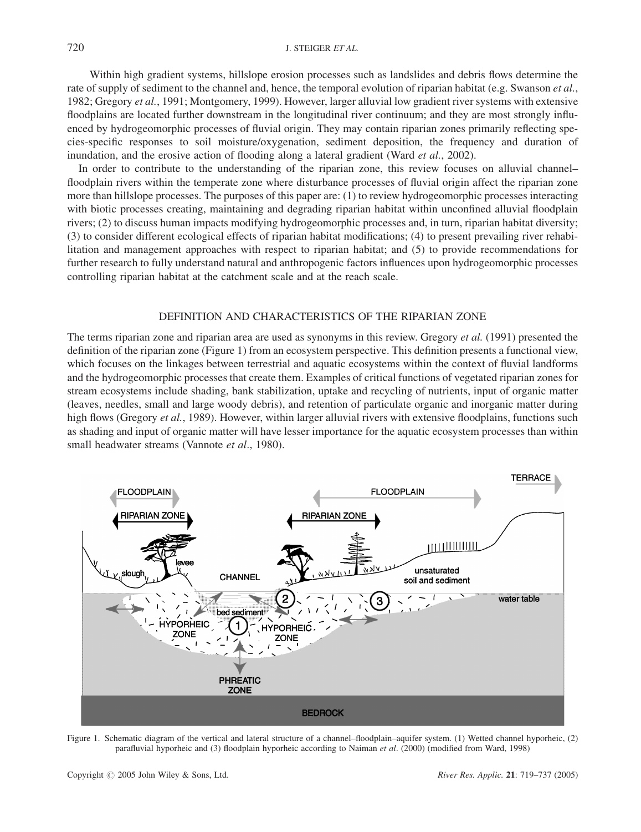Within high gradient systems, hillslope erosion processes such as landslides and debris flows determine the rate of supply of sediment to the channel and, hence, the temporal evolution of riparian habitat (e.g. Swanson *et al.*, 1982; Gregory et al., 1991; Montgomery, 1999). However, larger alluvial low gradient river systems with extensive floodplains are located further downstream in the longitudinal river continuum; and they are most strongly influenced by hydrogeomorphic processes of fluvial origin. They may contain riparian zones primarily reflecting species-specific responses to soil moisture/oxygenation, sediment deposition, the frequency and duration of inundation, and the erosive action of flooding along a lateral gradient (Ward *et al.*, 2002).

In order to contribute to the understanding of the riparian zone, this review focuses on alluvial channel– floodplain rivers within the temperate zone where disturbance processes of fluvial origin affect the riparian zone more than hillslope processes. The purposes of this paper are: (1) to review hydrogeomorphic processes interacting with biotic processes creating, maintaining and degrading riparian habitat within unconfined alluvial floodplain rivers; (2) to discuss human impacts modifying hydrogeomorphic processes and, in turn, riparian habitat diversity; (3) to consider different ecological effects of riparian habitat modifications; (4) to present prevailing river rehabilitation and management approaches with respect to riparian habitat; and (5) to provide recommendations for further research to fully understand natural and anthropogenic factors influences upon hydrogeomorphic processes controlling riparian habitat at the catchment scale and at the reach scale.

# DEFINITION AND CHARACTERISTICS OF THE RIPARIAN ZONE

The terms riparian zone and riparian area are used as synonyms in this review. Gregory *et al.* (1991) presented the definition of the riparian zone (Figure 1) from an ecosystem perspective. This definition presents a functional view, which focuses on the linkages between terrestrial and aquatic ecosystems within the context of fluvial landforms and the hydrogeomorphic processes that create them. Examples of critical functions of vegetated riparian zones for stream ecosystems include shading, bank stabilization, uptake and recycling of nutrients, input of organic matter (leaves, needles, small and large woody debris), and retention of particulate organic and inorganic matter during high flows (Gregory et al., 1989). However, within larger alluvial rivers with extensive floodplains, functions such as shading and input of organic matter will have lesser importance for the aquatic ecosystem processes than within small headwater streams (Vannote et al., 1980).



Figure 1. Schematic diagram of the vertical and lateral structure of a channel–floodplain–aquifer system. (1) Wetted channel hyporheic, (2) parafluvial hyporheic and (3) floodplain hyporheic according to Naiman et al. (2000) (modified from Ward, 1998)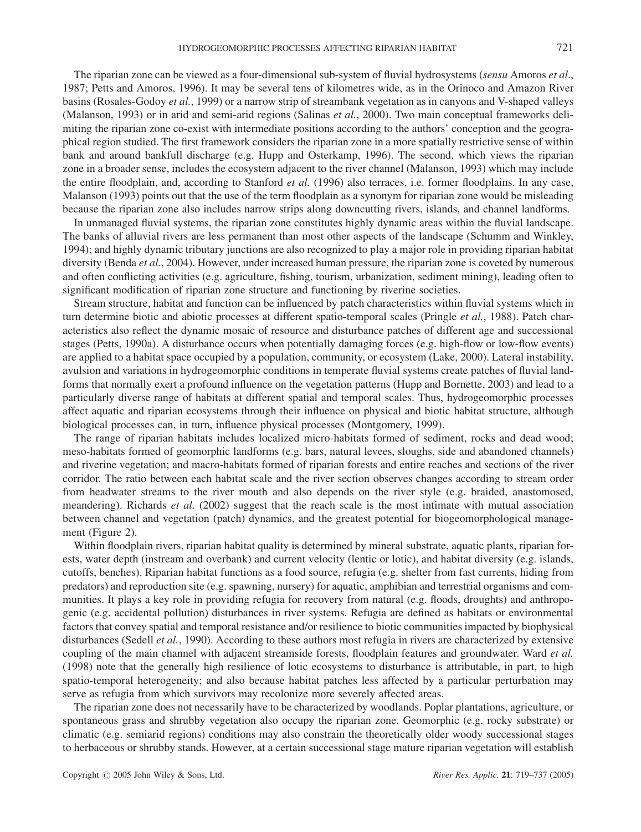The riparian zone can be viewed as a four-dimensional sub-system of fluvial hydrosystems (sensu Amoros et al., 1987; Petts and Amoros, 1996). It may be several tens of kilometres wide, as in the Orinoco and Amazon River basins (Rosales-Godoy et al., 1999) or a narrow strip of streambank vegetation as in canyons and V-shaped valleys (Malanson, 1993) or in arid and semi-arid regions (Salinas et al., 2000). Two main conceptual frameworks delimiting the riparian zone co-exist with intermediate positions according to the authors' conception and the geographical region studied. The first framework considers the riparian zone in a more spatially restrictive sense of within bank and around bankfull discharge (e.g. Hupp and Osterkamp, 1996). The second, which views the riparian zone in a broader sense, includes the ecosystem adjacent to the river channel (Malanson, 1993) which may include the entire floodplain, and, according to Stanford *et al.* (1996) also terraces, i.e. former floodplains. In any case, Malanson (1993) points out that the use of the term floodplain as a synonym for riparian zone would be misleading because the riparian zone also includes narrow strips along downcutting rivers, islands, and channel landforms.

In unmanaged fluvial systems, the riparian zone constitutes highly dynamic areas within the fluvial landscape. The banks of alluvial rivers are less permanent than most other aspects of the landscape (Schumm and Winkley, 1994); and highly dynamic tributary junctions are also recognized to play a major role in providing riparian habitat diversity (Benda *et al.*, 2004). However, under increased human pressure, the riparian zone is coveted by numerous and often conflicting activities (e.g. agriculture, fishing, tourism, urbanization, sediment mining), leading often to significant modification of riparian zone structure and functioning by riverine societies.

Stream structure, habitat and function can be influenced by patch characteristics within fluvial systems which in turn determine biotic and abiotic processes at different spatio-temporal scales (Pringle et al., 1988). Patch characteristics also reflect the dynamic mosaic of resource and disturbance patches of different age and successional stages (Petts, 1990a). A disturbance occurs when potentially damaging forces (e.g. high-flow or low-flow events) are applied to a habitat space occupied by a population, community, or ecosystem (Lake, 2000). Lateral instability, avulsion and variations in hydrogeomorphic conditions in temperate fluvial systems create patches of fluvial landforms that normally exert a profound influence on the vegetation patterns (Hupp and Bornette, 2003) and lead to a particularly diverse range of habitats at different spatial and temporal scales. Thus, hydrogeomorphic processes affect aquatic and riparian ecosystems through their influence on physical and biotic habitat structure, although biological processes can, in turn, influence physical processes (Montgomery, 1999).

The range of riparian habitats includes localized micro-habitats formed of sediment, rocks and dead wood; meso-habitats formed of geomorphic landforms (e.g. bars, natural levees, sloughs, side and abandoned channels) and riverine vegetation; and macro-habitats formed of riparian forests and entire reaches and sections of the river corridor. The ratio between each habitat scale and the river section observes changes according to stream order from headwater streams to the river mouth and also depends on the river style (e.g. braided, anastomosed, meandering). Richards *et al.* (2002) suggest that the reach scale is the most intimate with mutual association between channel and vegetation (patch) dynamics, and the greatest potential for biogeomorphological management (Figure 2).

Within floodplain rivers, riparian habitat quality is determined by mineral substrate, aquatic plants, riparian forests, water depth (instream and overbank) and current velocity (lentic or lotic), and habitat diversity (e.g. islands, cutoffs, benches). Riparian habitat functions as a food source, refugia (e.g. shelter from fast currents, hiding from predators) and reproduction site (e.g. spawning, nursery) for aquatic, amphibian and terrestrial organisms and communities. It plays a key role in providing refugia for recovery from natural (e.g. floods, droughts) and anthropogenic (e.g. accidental pollution) disturbances in river systems. Refugia are defined as habitats or environmental factors that convey spatial and temporal resistance and/or resilience to biotic communities impacted by biophysical disturbances (Sedell *et al.*, 1990). According to these authors most refugia in rivers are characterized by extensive coupling of the main channel with adjacent streamside forests, floodplain features and groundwater. Ward et al. (1998) note that the generally high resilience of lotic ecosystems to disturbance is attributable, in part, to high spatio-temporal heterogeneity; and also because habitat patches less affected by a particular perturbation may serve as refugia from which survivors may recolonize more severely affected areas.

The riparian zone does not necessarily have to be characterized by woodlands. Poplar plantations, agriculture, or spontaneous grass and shrubby vegetation also occupy the riparian zone. Geomorphic (e.g. rocky substrate) or climatic (e.g. semiarid regions) conditions may also constrain the theoretically older woody successional stages to herbaceous or shrubby stands. However, at a certain successional stage mature riparian vegetation will establish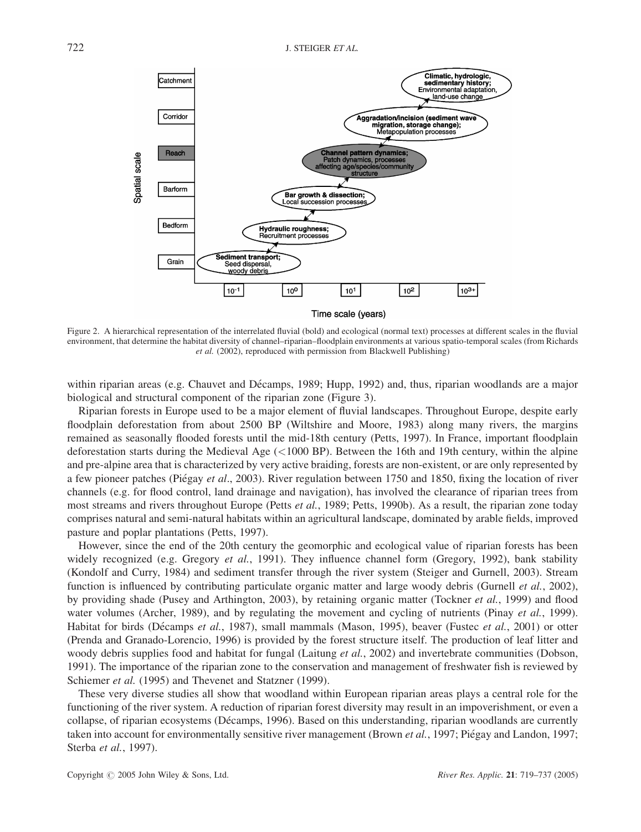

Figure 2. A hierarchical representation of the interrelated fluvial (bold) and ecological (normal text) processes at different scales in the fluvial environment, that determine the habitat diversity of channel–riparian–floodplain environments at various spatio-temporal scales (from Richards et al. (2002), reproduced with permission from Blackwell Publishing)

within riparian areas (e.g. Chauvet and Décamps, 1989; Hupp, 1992) and, thus, riparian woodlands are a major biological and structural component of the riparian zone (Figure 3).

Riparian forests in Europe used to be a major element of fluvial landscapes. Throughout Europe, despite early floodplain deforestation from about 2500 BP (Wiltshire and Moore, 1983) along many rivers, the margins remained as seasonally flooded forests until the mid-18th century (Petts, 1997). In France, important floodplain deforestation starts during the Medieval Age (<1000 BP). Between the 16th and 19th century, within the alpine and pre-alpine area that is characterized by very active braiding, forests are non-existent, or are only represented by a few pioneer patches (Piégay et al., 2003). River regulation between 1750 and 1850, fixing the location of river channels (e.g. for flood control, land drainage and navigation), has involved the clearance of riparian trees from most streams and rivers throughout Europe (Petts *et al.*, 1989; Petts, 1990b). As a result, the riparian zone today comprises natural and semi-natural habitats within an agricultural landscape, dominated by arable fields, improved pasture and poplar plantations (Petts, 1997).

However, since the end of the 20th century the geomorphic and ecological value of riparian forests has been widely recognized (e.g. Gregory *et al.*, 1991). They influence channel form (Gregory, 1992), bank stability (Kondolf and Curry, 1984) and sediment transfer through the river system (Steiger and Gurnell, 2003). Stream function is influenced by contributing particulate organic matter and large woody debris (Gurnell *et al.*, 2002), by providing shade (Pusey and Arthington, 2003), by retaining organic matter (Tockner et al., 1999) and flood water volumes (Archer, 1989), and by regulating the movement and cycling of nutrients (Pinay et al., 1999). Habitat for birds (Décamps et al., 1987), small mammals (Mason, 1995), beaver (Fustec et al., 2001) or otter (Prenda and Granado-Lorencio, 1996) is provided by the forest structure itself. The production of leaf litter and woody debris supplies food and habitat for fungal (Laitung et al., 2002) and invertebrate communities (Dobson, 1991). The importance of the riparian zone to the conservation and management of freshwater fish is reviewed by Schiemer et al. (1995) and Thevenet and Statzner (1999).

These very diverse studies all show that woodland within European riparian areas plays a central role for the functioning of the river system. A reduction of riparian forest diversity may result in an impoverishment, or even a collapse, of riparian ecosystems (Décamps, 1996). Based on this understanding, riparian woodlands are currently taken into account for environmentally sensitive river management (Brown et al., 1997; Piégay and Landon, 1997; Sterba et al., 1997).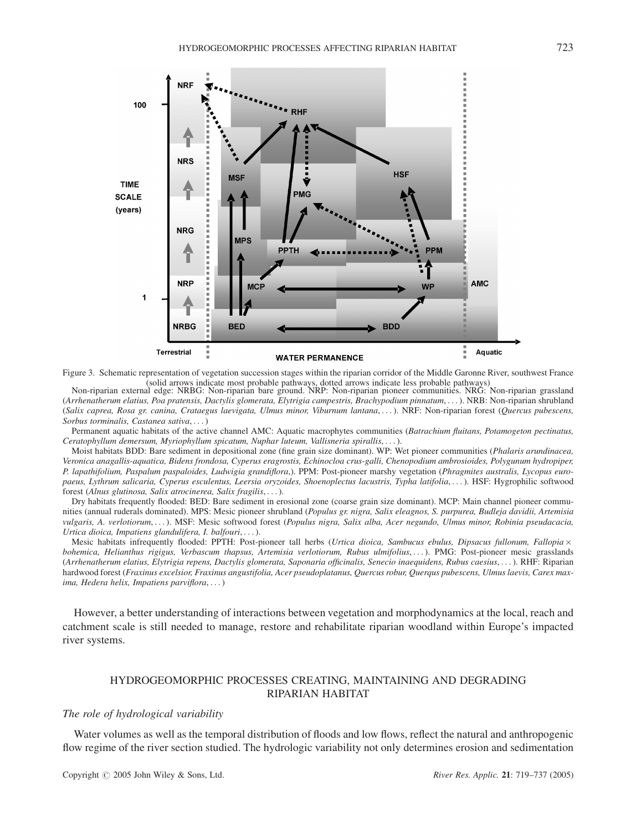

Figure 3. Schematic representation of vegetation succession stages within the riparian corridor of the Middle Garonne River, southwest France (solid arrows indicate most probable pathways, dotted arrows indicate less probable pathways) Non-riparian external edge: NRBG: Non-riparian bare ground. NRP: Non-riparian pioneer communities. NRG: Non-riparian grassland

(Arrhenatherum elatius, Poa pratensis, Dactylis glomerata, Elytrigia campestris, Brachypodium pinnatum, ...). NRB: Non-riparian shrubland (Salix caprea, Rosa gr. canina, Crataegus laevigata, Ulmus minor, Viburnum lantana, ...). NRF: Non-riparian forest (Quercus pubescens, Sorbus torminalis, Castanea sativa, ...)

Permanent aquatic habitats of the active channel AMC: Aquatic macrophytes communities (Batrachium fluitans, Potamogeton pectinatus, Ceratophyllum demersum, Myriophyllum spicatum, Nuphar luteum, Vallisneria spirallis, ...).

Moist habitats BDD: Bare sediment in depositional zone (fine grain size dominant). WP: Wet pioneer communities (Phalaris arundinacea, Veronica anagallis-aquatica, Bidens frondosa, Cyperus eragrostis, Echinocloa crus-galli, Chenopodium ambrosioides, Polygunum hydropiper, P. lapathifolium, Paspalum paspaloides, Ludwigia grandiflora,). PPM: Post-pioneer marshy vegetation (Phragmites australis, Lycopus europaeus, Lythrum salicaria, Cyperus esculentus, Leersia oryzoides, Shoenoplectus lacustris, Typha latifolia, ... ). HSF: Hygrophilic softwood forest (Alnus glutinosa, Salix atrocinerea, Salix fragilis, ...).

Dry habitats frequently flooded: BED: Bare sediment in erosional zone (coarse grain size dominant). MCP: Main channel pioneer communities (annual ruderals dominated). MPS: Mesic pioneer shrubland (Populus gr. nigra, Salix eleagnos, S. purpurea, Budleja davidii, Artemisia vulgaris, A. verlotiorum, ... ). MSF: Mesic softwood forest (Populus nigra, Salix alba, Acer negundo, Ulmus minor, Robinia pseudacacia, Urtica dioica, Impatiens glandulifera, I. balfouri, ... ).

Mesic habitats infrequently flooded: PPTH: Post-pioneer tall herbs (Urtica dioica, Sambucus ebulus, Dipsacus fullonum, Fallopia  $\times$ bohemica, Helianthus rigigus, Verbascum thapsus, Artemisia verlotiorum, Rubus ulmifolius, ... ). PMG: Post-pioneer mesic grasslands (Arrhenatherum elatius, Elytrigia repens, Dactylis glomerata, Saponaria officinalis, Senecio inaequidens, Rubus caesius, ... ). RHF: Riparian hardwood forest (Fraxinus excelsior, Fraxinus angustifolia, Acer pseudoplatanus, Quercus robur, Querqus pubescens, Ulmus laevis, Carex maxima, Hedera helix, Impatiens parviflora, ...)

However, a better understanding of interactions between vegetation and morphodynamics at the local, reach and catchment scale is still needed to manage, restore and rehabilitate riparian woodland within Europe's impacted river systems.

# HYDROGEOMORPHIC PROCESSES CREATING, MAINTAINING AND DEGRADING RIPARIAN HABITAT

# The role of hydrological variability

Water volumes as well as the temporal distribution of floods and low flows, reflect the natural and anthropogenic flow regime of the river section studied. The hydrologic variability not only determines erosion and sedimentation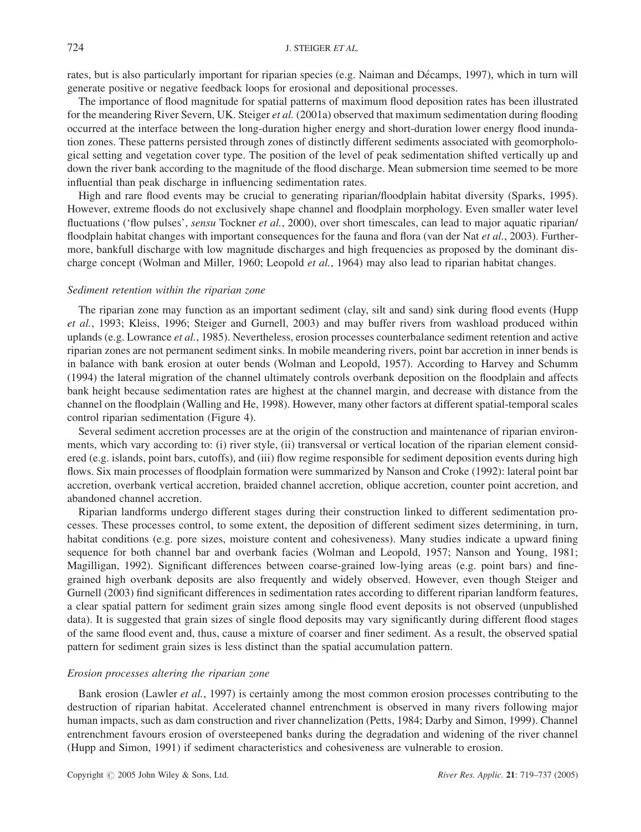rates, but is also particularly important for riparian species (e.g. Naiman and Décamps, 1997), which in turn will generate positive or negative feedback loops for erosional and depositional processes.

The importance of flood magnitude for spatial patterns of maximum flood deposition rates has been illustrated for the meandering River Severn, UK. Steiger *et al.* (2001a) observed that maximum sedimentation during flooding occurred at the interface between the long-duration higher energy and short-duration lower energy flood inundation zones. These patterns persisted through zones of distinctly different sediments associated with geomorphological setting and vegetation cover type. The position of the level of peak sedimentation shifted vertically up and down the river bank according to the magnitude of the flood discharge. Mean submersion time seemed to be more influential than peak discharge in influencing sedimentation rates.

High and rare flood events may be crucial to generating riparian/floodplain habitat diversity (Sparks, 1995). However, extreme floods do not exclusively shape channel and floodplain morphology. Even smaller water level fluctuations ('flow pulses', *sensu* Tockner et al., 2000), over short timescales, can lead to major aquatic riparian/ floodplain habitat changes with important consequences for the fauna and flora (van der Nat et al., 2003). Furthermore, bankfull discharge with low magnitude discharges and high frequencies as proposed by the dominant discharge concept (Wolman and Miller, 1960; Leopold *et al.*, 1964) may also lead to riparian habitat changes.

### Sediment retention within the riparian zone

The riparian zone may function as an important sediment (clay, silt and sand) sink during flood events (Hupp et al., 1993; Kleiss, 1996; Steiger and Gurnell, 2003) and may buffer rivers from washload produced within uplands (e.g. Lowrance *et al.*, 1985). Nevertheless, erosion processes counterbalance sediment retention and active riparian zones are not permanent sediment sinks. In mobile meandering rivers, point bar accretion in inner bends is in balance with bank erosion at outer bends (Wolman and Leopold, 1957). According to Harvey and Schumm (1994) the lateral migration of the channel ultimately controls overbank deposition on the floodplain and affects bank height because sedimentation rates are highest at the channel margin, and decrease with distance from the channel on the floodplain (Walling and He, 1998). However, many other factors at different spatial-temporal scales control riparian sedimentation (Figure 4).

Several sediment accretion processes are at the origin of the construction and maintenance of riparian environments, which vary according to: (i) river style, (ii) transversal or vertical location of the riparian element considered (e.g. islands, point bars, cutoffs), and (iii) flow regime responsible for sediment deposition events during high flows. Six main processes of floodplain formation were summarized by Nanson and Croke (1992): lateral point bar accretion, overbank vertical accretion, braided channel accretion, oblique accretion, counter point accretion, and abandoned channel accretion.

Riparian landforms undergo different stages during their construction linked to different sedimentation processes. These processes control, to some extent, the deposition of different sediment sizes determining, in turn, habitat conditions (e.g. pore sizes, moisture content and cohesiveness). Many studies indicate a upward fining sequence for both channel bar and overbank facies (Wolman and Leopold, 1957; Nanson and Young, 1981; Magilligan, 1992). Significant differences between coarse-grained low-lying areas (e.g. point bars) and finegrained high overbank deposits are also frequently and widely observed. However, even though Steiger and Gurnell (2003) find significant differences in sedimentation rates according to different riparian landform features, a clear spatial pattern for sediment grain sizes among single flood event deposits is not observed (unpublished data). It is suggested that grain sizes of single flood deposits may vary significantly during different flood stages of the same flood event and, thus, cause a mixture of coarser and finer sediment. As a result, the observed spatial pattern for sediment grain sizes is less distinct than the spatial accumulation pattern.

# Erosion processes altering the riparian zone

Bank erosion (Lawler et al., 1997) is certainly among the most common erosion processes contributing to the destruction of riparian habitat. Accelerated channel entrenchment is observed in many rivers following major human impacts, such as dam construction and river channelization (Petts, 1984; Darby and Simon, 1999). Channel entrenchment favours erosion of oversteepened banks during the degradation and widening of the river channel (Hupp and Simon, 1991) if sediment characteristics and cohesiveness are vulnerable to erosion.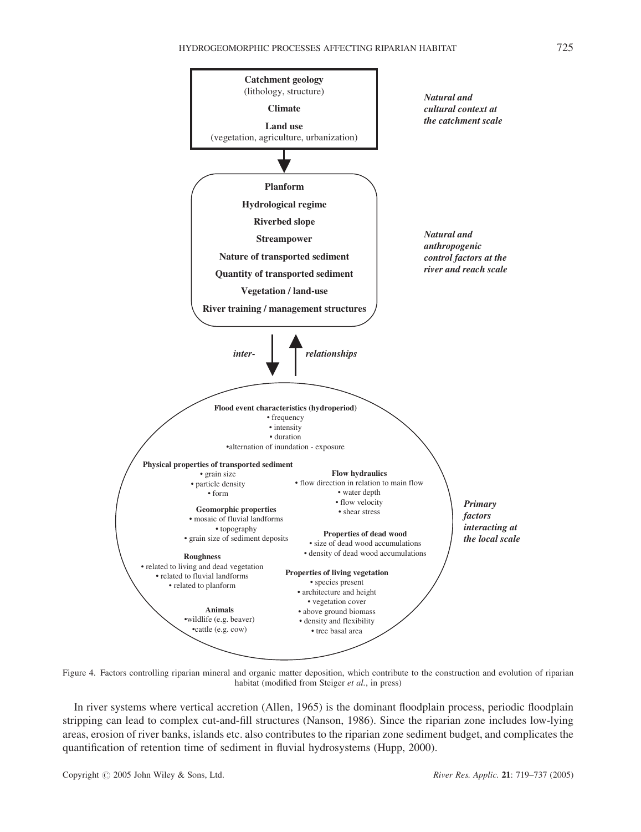

Figure 4. Factors controlling riparian mineral and organic matter deposition, which contribute to the construction and evolution of riparian habitat (modified from Steiger et al., in press)

In river systems where vertical accretion (Allen, 1965) is the dominant floodplain process, periodic floodplain stripping can lead to complex cut-and-fill structures (Nanson, 1986). Since the riparian zone includes low-lying areas, erosion of river banks, islands etc. also contributes to the riparian zone sediment budget, and complicates the quantification of retention time of sediment in fluvial hydrosystems (Hupp, 2000).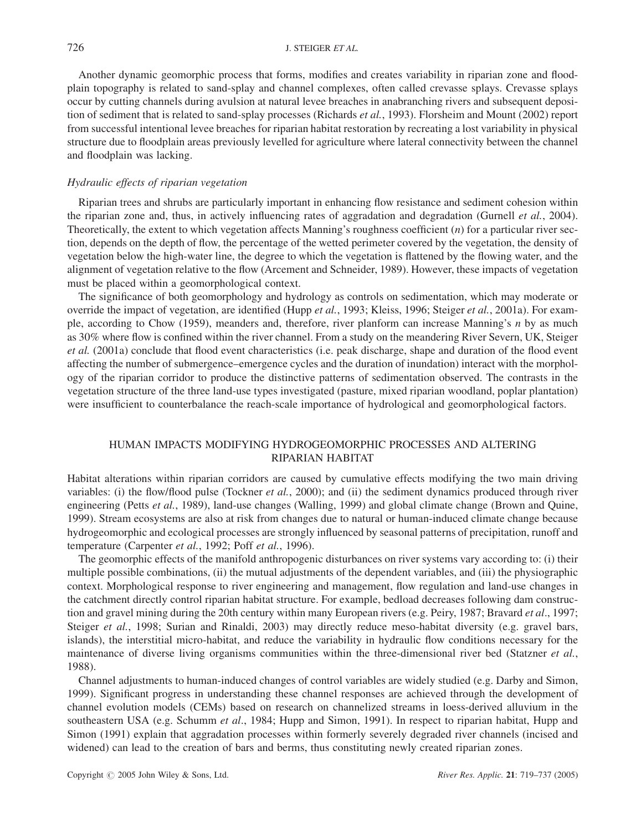Another dynamic geomorphic process that forms, modifies and creates variability in riparian zone and floodplain topography is related to sand-splay and channel complexes, often called crevasse splays. Crevasse splays occur by cutting channels during avulsion at natural levee breaches in anabranching rivers and subsequent deposition of sediment that is related to sand-splay processes (Richards *et al.*, 1993). Florsheim and Mount (2002) report from successful intentional levee breaches for riparian habitat restoration by recreating a lost variability in physical structure due to floodplain areas previously levelled for agriculture where lateral connectivity between the channel and floodplain was lacking.

### Hydraulic effects of riparian vegetation

Riparian trees and shrubs are particularly important in enhancing flow resistance and sediment cohesion within the riparian zone and, thus, in actively influencing rates of aggradation and degradation (Gurnell *et al.*, 2004). Theoretically, the extent to which vegetation affects Manning's roughness coefficient  $(n)$  for a particular river section, depends on the depth of flow, the percentage of the wetted perimeter covered by the vegetation, the density of vegetation below the high-water line, the degree to which the vegetation is flattened by the flowing water, and the alignment of vegetation relative to the flow (Arcement and Schneider, 1989). However, these impacts of vegetation must be placed within a geomorphological context.

The significance of both geomorphology and hydrology as controls on sedimentation, which may moderate or override the impact of vegetation, are identified (Hupp et al., 1993; Kleiss, 1996; Steiger et al., 2001a). For example, according to Chow (1959), meanders and, therefore, river planform can increase Manning's n by as much as 30% where flow is confined within the river channel. From a study on the meandering River Severn, UK, Steiger et al. (2001a) conclude that flood event characteristics (i.e. peak discharge, shape and duration of the flood event affecting the number of submergence–emergence cycles and the duration of inundation) interact with the morphology of the riparian corridor to produce the distinctive patterns of sedimentation observed. The contrasts in the vegetation structure of the three land-use types investigated (pasture, mixed riparian woodland, poplar plantation) were insufficient to counterbalance the reach-scale importance of hydrological and geomorphological factors.

# HUMAN IMPACTS MODIFYING HYDROGEOMORPHIC PROCESSES AND ALTERING RIPARIAN HABITAT

Habitat alterations within riparian corridors are caused by cumulative effects modifying the two main driving variables: (i) the flow/flood pulse (Tockner et al., 2000); and (ii) the sediment dynamics produced through river engineering (Petts et al., 1989), land-use changes (Walling, 1999) and global climate change (Brown and Quine, 1999). Stream ecosystems are also at risk from changes due to natural or human-induced climate change because hydrogeomorphic and ecological processes are strongly influenced by seasonal patterns of precipitation, runoff and temperature (Carpenter et al., 1992; Poff et al., 1996).

The geomorphic effects of the manifold anthropogenic disturbances on river systems vary according to: (i) their multiple possible combinations, (ii) the mutual adjustments of the dependent variables, and (iii) the physiographic context. Morphological response to river engineering and management, flow regulation and land-use changes in the catchment directly control riparian habitat structure. For example, bedload decreases following dam construction and gravel mining during the 20th century within many European rivers (e.g. Peiry, 1987; Bravard et al., 1997; Steiger et al., 1998; Surian and Rinaldi, 2003) may directly reduce meso-habitat diversity (e.g. gravel bars, islands), the interstitial micro-habitat, and reduce the variability in hydraulic flow conditions necessary for the maintenance of diverse living organisms communities within the three-dimensional river bed (Statzner et al., 1988).

Channel adjustments to human-induced changes of control variables are widely studied (e.g. Darby and Simon, 1999). Significant progress in understanding these channel responses are achieved through the development of channel evolution models (CEMs) based on research on channelized streams in loess-derived alluvium in the southeastern USA (e.g. Schumm et al., 1984; Hupp and Simon, 1991). In respect to riparian habitat, Hupp and Simon (1991) explain that aggradation processes within formerly severely degraded river channels (incised and widened) can lead to the creation of bars and berms, thus constituting newly created riparian zones.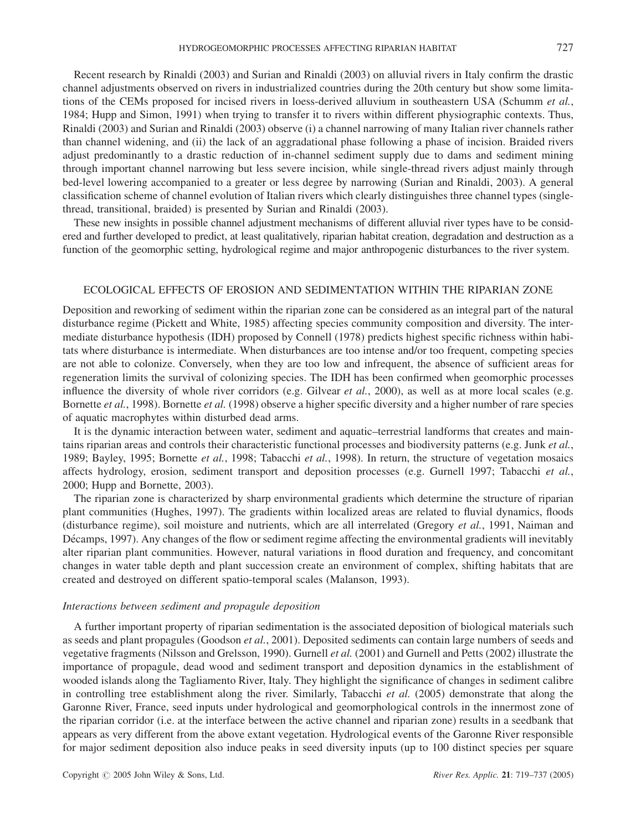Recent research by Rinaldi (2003) and Surian and Rinaldi (2003) on alluvial rivers in Italy confirm the drastic channel adjustments observed on rivers in industrialized countries during the 20th century but show some limitations of the CEMs proposed for incised rivers in loess-derived alluvium in southeastern USA (Schumm et al., 1984; Hupp and Simon, 1991) when trying to transfer it to rivers within different physiographic contexts. Thus, Rinaldi (2003) and Surian and Rinaldi (2003) observe (i) a channel narrowing of many Italian river channels rather than channel widening, and (ii) the lack of an aggradational phase following a phase of incision. Braided rivers adjust predominantly to a drastic reduction of in-channel sediment supply due to dams and sediment mining through important channel narrowing but less severe incision, while single-thread rivers adjust mainly through bed-level lowering accompanied to a greater or less degree by narrowing (Surian and Rinaldi, 2003). A general classification scheme of channel evolution of Italian rivers which clearly distinguishes three channel types (singlethread, transitional, braided) is presented by Surian and Rinaldi (2003).

These new insights in possible channel adjustment mechanisms of different alluvial river types have to be considered and further developed to predict, at least qualitatively, riparian habitat creation, degradation and destruction as a function of the geomorphic setting, hydrological regime and major anthropogenic disturbances to the river system.

### ECOLOGICAL EFFECTS OF EROSION AND SEDIMENTATION WITHIN THE RIPARIAN ZONE

Deposition and reworking of sediment within the riparian zone can be considered as an integral part of the natural disturbance regime (Pickett and White, 1985) affecting species community composition and diversity. The intermediate disturbance hypothesis (IDH) proposed by Connell (1978) predicts highest specific richness within habitats where disturbance is intermediate. When disturbances are too intense and/or too frequent, competing species are not able to colonize. Conversely, when they are too low and infrequent, the absence of sufficient areas for regeneration limits the survival of colonizing species. The IDH has been confirmed when geomorphic processes influence the diversity of whole river corridors (e.g. Gilvear *et al.*, 2000), as well as at more local scales (e.g. Bornette et al., 1998). Bornette et al. (1998) observe a higher specific diversity and a higher number of rare species of aquatic macrophytes within disturbed dead arms.

It is the dynamic interaction between water, sediment and aquatic–terrestrial landforms that creates and maintains riparian areas and controls their characteristic functional processes and biodiversity patterns (e.g. Junk *et al.*, 1989; Bayley, 1995; Bornette et al., 1998; Tabacchi et al., 1998). In return, the structure of vegetation mosaics affects hydrology, erosion, sediment transport and deposition processes (e.g. Gurnell 1997; Tabacchi et al., 2000; Hupp and Bornette, 2003).

The riparian zone is characterized by sharp environmental gradients which determine the structure of riparian plant communities (Hughes, 1997). The gradients within localized areas are related to fluvial dynamics, floods (disturbance regime), soil moisture and nutrients, which are all interrelated (Gregory et al., 1991, Naiman and Décamps, 1997). Any changes of the flow or sediment regime affecting the environmental gradients will inevitably alter riparian plant communities. However, natural variations in flood duration and frequency, and concomitant changes in water table depth and plant succession create an environment of complex, shifting habitats that are created and destroyed on different spatio-temporal scales (Malanson, 1993).

### Interactions between sediment and propagule deposition

A further important property of riparian sedimentation is the associated deposition of biological materials such as seeds and plant propagules (Goodson et al., 2001). Deposited sediments can contain large numbers of seeds and vegetative fragments (Nilsson and Grelsson, 1990). Gurnell et al. (2001) and Gurnell and Petts (2002) illustrate the importance of propagule, dead wood and sediment transport and deposition dynamics in the establishment of wooded islands along the Tagliamento River, Italy. They highlight the significance of changes in sediment calibre in controlling tree establishment along the river. Similarly, Tabacchi et al. (2005) demonstrate that along the Garonne River, France, seed inputs under hydrological and geomorphological controls in the innermost zone of the riparian corridor (i.e. at the interface between the active channel and riparian zone) results in a seedbank that appears as very different from the above extant vegetation. Hydrological events of the Garonne River responsible for major sediment deposition also induce peaks in seed diversity inputs (up to 100 distinct species per square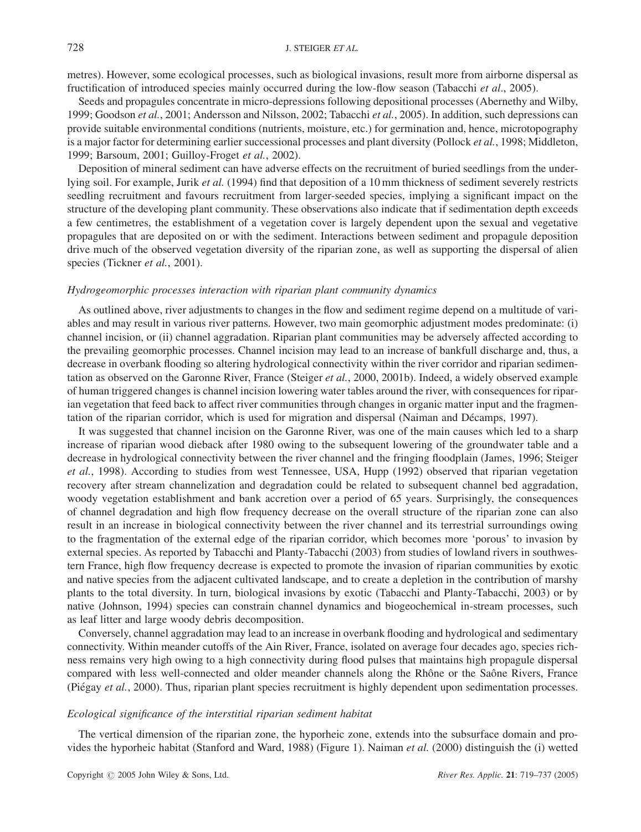metres). However, some ecological processes, such as biological invasions, result more from airborne dispersal as fructification of introduced species mainly occurred during the low-flow season (Tabacchi et al., 2005).

Seeds and propagules concentrate in micro-depressions following depositional processes (Abernethy and Wilby, 1999; Goodson et al., 2001; Andersson and Nilsson, 2002; Tabacchi et al., 2005). In addition, such depressions can provide suitable environmental conditions (nutrients, moisture, etc.) for germination and, hence, microtopography is a major factor for determining earlier successional processes and plant diversity (Pollock et al., 1998; Middleton, 1999; Barsoum, 2001; Guilloy-Froget et al., 2002).

Deposition of mineral sediment can have adverse effects on the recruitment of buried seedlings from the underlying soil. For example, Jurik et al. (1994) find that deposition of a 10 mm thickness of sediment severely restricts seedling recruitment and favours recruitment from larger-seeded species, implying a significant impact on the structure of the developing plant community. These observations also indicate that if sedimentation depth exceeds a few centimetres, the establishment of a vegetation cover is largely dependent upon the sexual and vegetative propagules that are deposited on or with the sediment. Interactions between sediment and propagule deposition drive much of the observed vegetation diversity of the riparian zone, as well as supporting the dispersal of alien species (Tickner *et al.*, 2001).

### Hydrogeomorphic processes interaction with riparian plant community dynamics

As outlined above, river adjustments to changes in the flow and sediment regime depend on a multitude of variables and may result in various river patterns. However, two main geomorphic adjustment modes predominate: (i) channel incision, or (ii) channel aggradation. Riparian plant communities may be adversely affected according to the prevailing geomorphic processes. Channel incision may lead to an increase of bankfull discharge and, thus, a decrease in overbank flooding so altering hydrological connectivity within the river corridor and riparian sedimentation as observed on the Garonne River, France (Steiger et al., 2000, 2001b). Indeed, a widely observed example of human triggered changes is channel incision lowering water tables around the river, with consequences for riparian vegetation that feed back to affect river communities through changes in organic matter input and the fragmentation of the riparian corridor, which is used for migration and dispersal (Naiman and Décamps, 1997).

It was suggested that channel incision on the Garonne River, was one of the main causes which led to a sharp increase of riparian wood dieback after 1980 owing to the subsequent lowering of the groundwater table and a decrease in hydrological connectivity between the river channel and the fringing floodplain (James, 1996; Steiger et al., 1998). According to studies from west Tennessee, USA, Hupp (1992) observed that riparian vegetation recovery after stream channelization and degradation could be related to subsequent channel bed aggradation, woody vegetation establishment and bank accretion over a period of 65 years. Surprisingly, the consequences of channel degradation and high flow frequency decrease on the overall structure of the riparian zone can also result in an increase in biological connectivity between the river channel and its terrestrial surroundings owing to the fragmentation of the external edge of the riparian corridor, which becomes more 'porous' to invasion by external species. As reported by Tabacchi and Planty-Tabacchi (2003) from studies of lowland rivers in southwestern France, high flow frequency decrease is expected to promote the invasion of riparian communities by exotic and native species from the adjacent cultivated landscape, and to create a depletion in the contribution of marshy plants to the total diversity. In turn, biological invasions by exotic (Tabacchi and Planty-Tabacchi, 2003) or by native (Johnson, 1994) species can constrain channel dynamics and biogeochemical in-stream processes, such as leaf litter and large woody debris decomposition.

Conversely, channel aggradation may lead to an increase in overbank flooding and hydrological and sedimentary connectivity. Within meander cutoffs of the Ain River, France, isolated on average four decades ago, species richness remains very high owing to a high connectivity during flood pulses that maintains high propagule dispersal compared with less well-connected and older meander channels along the Rhône or the Saône Rivers, France (Piégay et al., 2000). Thus, riparian plant species recruitment is highly dependent upon sedimentation processes.

### Ecological significance of the interstitial riparian sediment habitat

The vertical dimension of the riparian zone, the hyporheic zone, extends into the subsurface domain and provides the hyporheic habitat (Stanford and Ward, 1988) (Figure 1). Naiman et al. (2000) distinguish the (i) wetted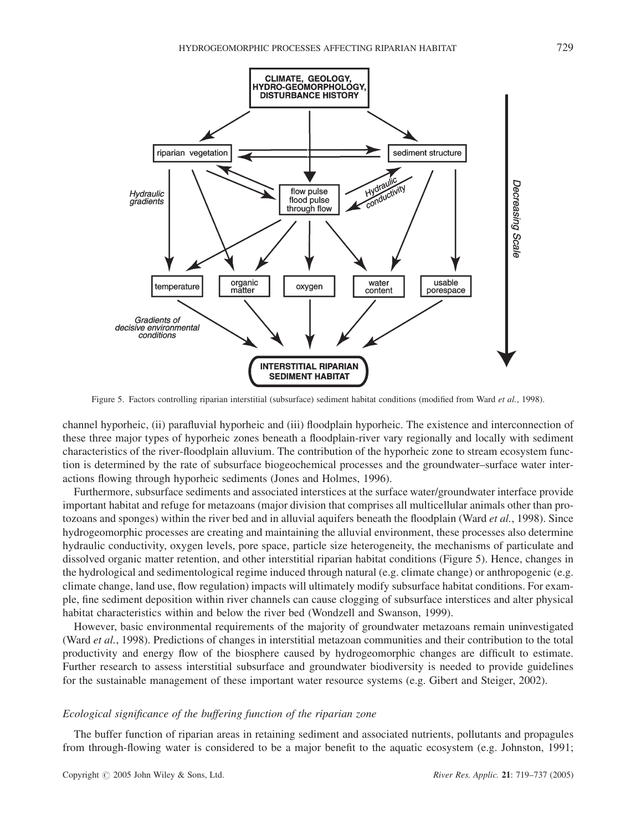

Figure 5. Factors controlling riparian interstitial (subsurface) sediment habitat conditions (modified from Ward et al., 1998).

channel hyporheic, (ii) parafluvial hyporheic and (iii) floodplain hyporheic. The existence and interconnection of these three major types of hyporheic zones beneath a floodplain-river vary regionally and locally with sediment characteristics of the river-floodplain alluvium. The contribution of the hyporheic zone to stream ecosystem function is determined by the rate of subsurface biogeochemical processes and the groundwater–surface water interactions flowing through hyporheic sediments (Jones and Holmes, 1996).

Furthermore, subsurface sediments and associated interstices at the surface water/groundwater interface provide important habitat and refuge for metazoans (major division that comprises all multicellular animals other than protozoans and sponges) within the river bed and in alluvial aquifers beneath the floodplain (Ward *et al.*, 1998). Since hydrogeomorphic processes are creating and maintaining the alluvial environment, these processes also determine hydraulic conductivity, oxygen levels, pore space, particle size heterogeneity, the mechanisms of particulate and dissolved organic matter retention, and other interstitial riparian habitat conditions (Figure 5). Hence, changes in the hydrological and sedimentological regime induced through natural (e.g. climate change) or anthropogenic (e.g. climate change, land use, flow regulation) impacts will ultimately modify subsurface habitat conditions. For example, fine sediment deposition within river channels can cause clogging of subsurface interstices and alter physical habitat characteristics within and below the river bed (Wondzell and Swanson, 1999).

However, basic environmental requirements of the majority of groundwater metazoans remain uninvestigated (Ward et al., 1998). Predictions of changes in interstitial metazoan communities and their contribution to the total productivity and energy flow of the biosphere caused by hydrogeomorphic changes are difficult to estimate. Further research to assess interstitial subsurface and groundwater biodiversity is needed to provide guidelines for the sustainable management of these important water resource systems (e.g. Gibert and Steiger, 2002).

### Ecological significance of the buffering function of the riparian zone

The buffer function of riparian areas in retaining sediment and associated nutrients, pollutants and propagules from through-flowing water is considered to be a major benefit to the aquatic ecosystem (e.g. Johnston, 1991;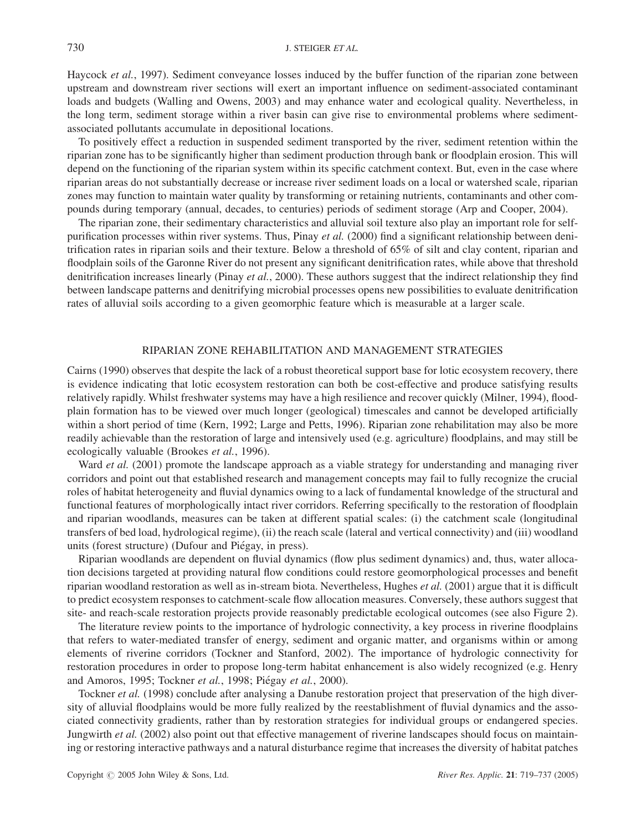Haycock et al., 1997). Sediment conveyance losses induced by the buffer function of the riparian zone between upstream and downstream river sections will exert an important influence on sediment-associated contaminant loads and budgets (Walling and Owens, 2003) and may enhance water and ecological quality. Nevertheless, in the long term, sediment storage within a river basin can give rise to environmental problems where sedimentassociated pollutants accumulate in depositional locations.

To positively effect a reduction in suspended sediment transported by the river, sediment retention within the riparian zone has to be significantly higher than sediment production through bank or floodplain erosion. This will depend on the functioning of the riparian system within its specific catchment context. But, even in the case where riparian areas do not substantially decrease or increase river sediment loads on a local or watershed scale, riparian zones may function to maintain water quality by transforming or retaining nutrients, contaminants and other compounds during temporary (annual, decades, to centuries) periods of sediment storage (Arp and Cooper, 2004).

The riparian zone, their sedimentary characteristics and alluvial soil texture also play an important role for selfpurification processes within river systems. Thus, Pinay et al. (2000) find a significant relationship between denitrification rates in riparian soils and their texture. Below a threshold of 65% of silt and clay content, riparian and floodplain soils of the Garonne River do not present any significant denitrification rates, while above that threshold denitrification increases linearly (Pinay *et al.*, 2000). These authors suggest that the indirect relationship they find between landscape patterns and denitrifying microbial processes opens new possibilities to evaluate denitrification rates of alluvial soils according to a given geomorphic feature which is measurable at a larger scale.

# RIPARIAN ZONE REHABILITATION AND MANAGEMENT STRATEGIES

Cairns (1990) observes that despite the lack of a robust theoretical support base for lotic ecosystem recovery, there is evidence indicating that lotic ecosystem restoration can both be cost-effective and produce satisfying results relatively rapidly. Whilst freshwater systems may have a high resilience and recover quickly (Milner, 1994), floodplain formation has to be viewed over much longer (geological) timescales and cannot be developed artificially within a short period of time (Kern, 1992; Large and Petts, 1996). Riparian zone rehabilitation may also be more readily achievable than the restoration of large and intensively used (e.g. agriculture) floodplains, and may still be ecologically valuable (Brookes et al., 1996).

Ward *et al.* (2001) promote the landscape approach as a viable strategy for understanding and managing river corridors and point out that established research and management concepts may fail to fully recognize the crucial roles of habitat heterogeneity and fluvial dynamics owing to a lack of fundamental knowledge of the structural and functional features of morphologically intact river corridors. Referring specifically to the restoration of floodplain and riparian woodlands, measures can be taken at different spatial scales: (i) the catchment scale (longitudinal transfers of bed load, hydrological regime), (ii) the reach scale (lateral and vertical connectivity) and (iii) woodland units (forest structure) (Dufour and Piégay, in press).

Riparian woodlands are dependent on fluvial dynamics (flow plus sediment dynamics) and, thus, water allocation decisions targeted at providing natural flow conditions could restore geomorphological processes and benefit riparian woodland restoration as well as in-stream biota. Nevertheless, Hughes et al. (2001) argue that it is difficult to predict ecosystem responses to catchment-scale flow allocation measures. Conversely, these authors suggest that site- and reach-scale restoration projects provide reasonably predictable ecological outcomes (see also Figure 2).

The literature review points to the importance of hydrologic connectivity, a key process in riverine floodplains that refers to water-mediated transfer of energy, sediment and organic matter, and organisms within or among elements of riverine corridors (Tockner and Stanford, 2002). The importance of hydrologic connectivity for restoration procedures in order to propose long-term habitat enhancement is also widely recognized (e.g. Henry and Amoros, 1995; Tockner et al., 1998; Piégay et al., 2000).

Tockner et al. (1998) conclude after analysing a Danube restoration project that preservation of the high diversity of alluvial floodplains would be more fully realized by the reestablishment of fluvial dynamics and the associated connectivity gradients, rather than by restoration strategies for individual groups or endangered species. Jungwirth et al. (2002) also point out that effective management of riverine landscapes should focus on maintaining or restoring interactive pathways and a natural disturbance regime that increases the diversity of habitat patches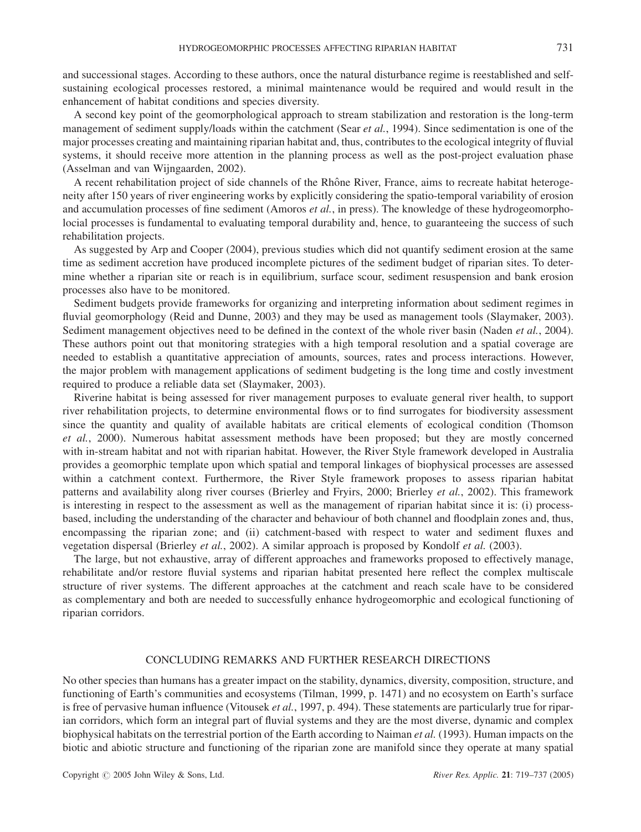and successional stages. According to these authors, once the natural disturbance regime is reestablished and selfsustaining ecological processes restored, a minimal maintenance would be required and would result in the enhancement of habitat conditions and species diversity.

A second key point of the geomorphological approach to stream stabilization and restoration is the long-term management of sediment supply/loads within the catchment (Sear et al., 1994). Since sedimentation is one of the major processes creating and maintaining riparian habitat and, thus, contributes to the ecological integrity of fluvial systems, it should receive more attention in the planning process as well as the post-project evaluation phase (Asselman and van Wijngaarden, 2002).

A recent rehabilitation project of side channels of the Rhône River, France, aims to recreate habitat heterogeneity after 150 years of river engineering works by explicitly considering the spatio-temporal variability of erosion and accumulation processes of fine sediment (Amoros et al., in press). The knowledge of these hydrogeomorpholocial processes is fundamental to evaluating temporal durability and, hence, to guaranteeing the success of such rehabilitation projects.

As suggested by Arp and Cooper (2004), previous studies which did not quantify sediment erosion at the same time as sediment accretion have produced incomplete pictures of the sediment budget of riparian sites. To determine whether a riparian site or reach is in equilibrium, surface scour, sediment resuspension and bank erosion processes also have to be monitored.

Sediment budgets provide frameworks for organizing and interpreting information about sediment regimes in fluvial geomorphology (Reid and Dunne, 2003) and they may be used as management tools (Slaymaker, 2003). Sediment management objectives need to be defined in the context of the whole river basin (Naden et al., 2004). These authors point out that monitoring strategies with a high temporal resolution and a spatial coverage are needed to establish a quantitative appreciation of amounts, sources, rates and process interactions. However, the major problem with management applications of sediment budgeting is the long time and costly investment required to produce a reliable data set (Slaymaker, 2003).

Riverine habitat is being assessed for river management purposes to evaluate general river health, to support river rehabilitation projects, to determine environmental flows or to find surrogates for biodiversity assessment since the quantity and quality of available habitats are critical elements of ecological condition (Thomson et al., 2000). Numerous habitat assessment methods have been proposed; but they are mostly concerned with in-stream habitat and not with riparian habitat. However, the River Style framework developed in Australia provides a geomorphic template upon which spatial and temporal linkages of biophysical processes are assessed within a catchment context. Furthermore, the River Style framework proposes to assess riparian habitat patterns and availability along river courses (Brierley and Fryirs, 2000; Brierley et al., 2002). This framework is interesting in respect to the assessment as well as the management of riparian habitat since it is: (i) processbased, including the understanding of the character and behaviour of both channel and floodplain zones and, thus, encompassing the riparian zone; and (ii) catchment-based with respect to water and sediment fluxes and vegetation dispersal (Brierley et al., 2002). A similar approach is proposed by Kondolf et al. (2003).

The large, but not exhaustive, array of different approaches and frameworks proposed to effectively manage, rehabilitate and/or restore fluvial systems and riparian habitat presented here reflect the complex multiscale structure of river systems. The different approaches at the catchment and reach scale have to be considered as complementary and both are needed to successfully enhance hydrogeomorphic and ecological functioning of riparian corridors.

# CONCLUDING REMARKS AND FURTHER RESEARCH DIRECTIONS

No other species than humans has a greater impact on the stability, dynamics, diversity, composition, structure, and functioning of Earth's communities and ecosystems (Tilman, 1999, p. 1471) and no ecosystem on Earth's surface is free of pervasive human influence (Vitousek et al., 1997, p. 494). These statements are particularly true for riparian corridors, which form an integral part of fluvial systems and they are the most diverse, dynamic and complex biophysical habitats on the terrestrial portion of the Earth according to Naiman et al. (1993). Human impacts on the biotic and abiotic structure and functioning of the riparian zone are manifold since they operate at many spatial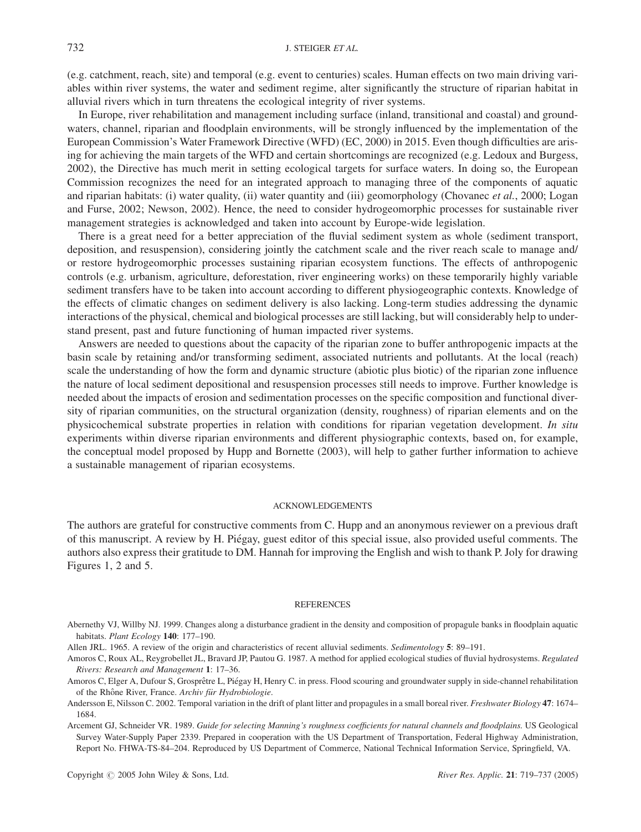(e.g. catchment, reach, site) and temporal (e.g. event to centuries) scales. Human effects on two main driving variables within river systems, the water and sediment regime, alter significantly the structure of riparian habitat in alluvial rivers which in turn threatens the ecological integrity of river systems.

In Europe, river rehabilitation and management including surface (inland, transitional and coastal) and groundwaters, channel, riparian and floodplain environments, will be strongly influenced by the implementation of the European Commission's Water Framework Directive (WFD) (EC, 2000) in 2015. Even though difficulties are arising for achieving the main targets of the WFD and certain shortcomings are recognized (e.g. Ledoux and Burgess, 2002), the Directive has much merit in setting ecological targets for surface waters. In doing so, the European Commission recognizes the need for an integrated approach to managing three of the components of aquatic and riparian habitats: (i) water quality, (ii) water quantity and (iii) geomorphology (Chovanec et al., 2000; Logan and Furse, 2002; Newson, 2002). Hence, the need to consider hydrogeomorphic processes for sustainable river management strategies is acknowledged and taken into account by Europe-wide legislation.

There is a great need for a better appreciation of the fluvial sediment system as whole (sediment transport, deposition, and resuspension), considering jointly the catchment scale and the river reach scale to manage and/ or restore hydrogeomorphic processes sustaining riparian ecosystem functions. The effects of anthropogenic controls (e.g. urbanism, agriculture, deforestation, river engineering works) on these temporarily highly variable sediment transfers have to be taken into account according to different physiogeographic contexts. Knowledge of the effects of climatic changes on sediment delivery is also lacking. Long-term studies addressing the dynamic interactions of the physical, chemical and biological processes are still lacking, but will considerably help to understand present, past and future functioning of human impacted river systems.

Answers are needed to questions about the capacity of the riparian zone to buffer anthropogenic impacts at the basin scale by retaining and/or transforming sediment, associated nutrients and pollutants. At the local (reach) scale the understanding of how the form and dynamic structure (abiotic plus biotic) of the riparian zone influence the nature of local sediment depositional and resuspension processes still needs to improve. Further knowledge is needed about the impacts of erosion and sedimentation processes on the specific composition and functional diversity of riparian communities, on the structural organization (density, roughness) of riparian elements and on the physicochemical substrate properties in relation with conditions for riparian vegetation development. In situ experiments within diverse riparian environments and different physiographic contexts, based on, for example, the conceptual model proposed by Hupp and Bornette (2003), will help to gather further information to achieve a sustainable management of riparian ecosystems.

### ACKNOWLEDGEMENTS

The authors are grateful for constructive comments from C. Hupp and an anonymous reviewer on a previous draft of this manuscript. A review by H. Piégay, guest editor of this special issue, also provided useful comments. The authors also express their gratitude to DM. Hannah for improving the English and wish to thank P. Joly for drawing Figures 1, 2 and 5.

#### **REFERENCES**

Abernethy VJ, Willby NJ. 1999. Changes along a disturbance gradient in the density and composition of propagule banks in floodplain aquatic habitats. Plant Ecology 140: 177-190.

Allen JRL. 1965. A review of the origin and characteristics of recent alluvial sediments. Sedimentology 5: 89-191.

- Amoros C, Roux AL, Reygrobellet JL, Bravard JP, Pautou G. 1987. A method for applied ecological studies of fluvial hydrosystems. Regulated Rivers: Research and Management 1: 17–36.
- Amoros C, Elger A, Dufour S, Grosprêtre L, Piégay H, Henry C. in press. Flood scouring and groundwater supply in side-channel rehabilitation of the Rhône River, France. Archiv für Hydrobiologie.
- Andersson E, Nilsson C. 2002. Temporal variation in the drift of plant litter and propagules in a small boreal river. Freshwater Biology 47: 1674– 1684.

Arcement GJ, Schneider VR. 1989. Guide for selecting Manning's roughness coefficients for natural channels and floodplains. US Geological Survey Water-Supply Paper 2339. Prepared in cooperation with the US Department of Transportation, Federal Highway Administration, Report No. FHWA-TS-84–204. Reproduced by US Department of Commerce, National Technical Information Service, Springfield, VA.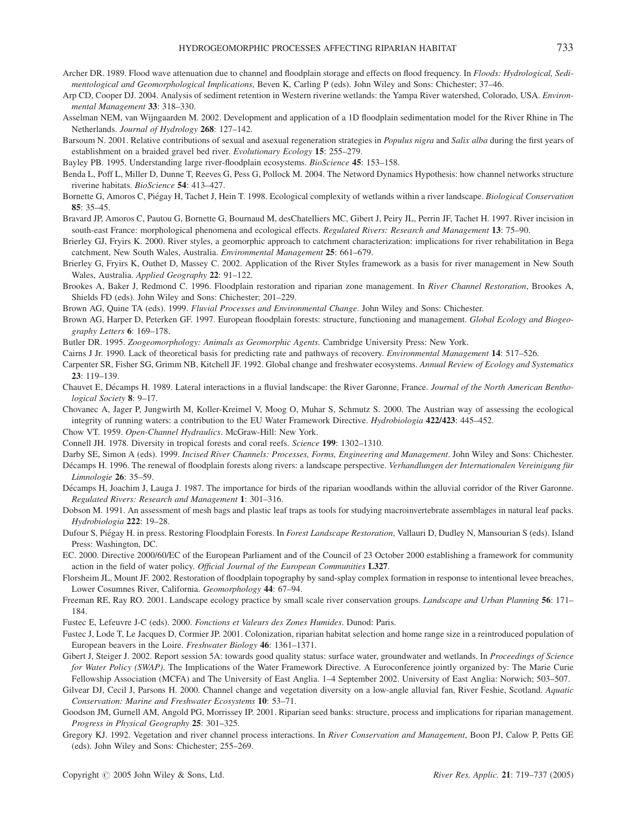- Archer DR. 1989. Flood wave attenuation due to channel and floodplain storage and effects on flood frequency. In Floods: Hydrological, Sedimentological and Geomorphological Implications, Beven K, Carling P (eds). John Wiley and Sons: Chichester; 37–46.
- Arp CD, Cooper DJ. 2004. Analysis of sediment retention in Western riverine wetlands: the Yampa River watershed, Colorado, USA. Environmental Management 33: 318-330.
- Asselman NEM, van Wijngaarden M. 2002. Development and application of a 1D floodplain sedimentation model for the River Rhine in The Netherlands. Journal of Hydrology 268: 127–142.
- Barsoum N. 2001. Relative contributions of sexual and asexual regeneration strategies in Populus nigra and Salix alba during the first years of establishment on a braided gravel bed river. Evolutionary Ecology 15: 255–279.
- Bayley PB. 1995. Understanding large river-floodplain ecosystems. BioScience 45: 153–158.
- Benda L, Poff L, Miller D, Dunne T, Reeves G, Pess G, Pollock M. 2004. The Netword Dynamics Hypothesis: how channel networks structure riverine habitats. BioScience 54: 413–427.
- Bornette G, Amoros C, Piégay H, Tachet J, Hein T. 1998. Ecological complexity of wetlands within a river landscape. Biological Conservation  $85: 35-45.$
- Bravard JP, Amoros C, Pautou G, Bornette G, Bournaud M, desChatelliers MC, Gibert J, Peiry JL, Perrin JF, Tachet H. 1997. River incision in south-east France: morphological phenomena and ecological effects. Regulated Rivers: Research and Management 13: 75–90.
- Brierley GJ, Fryirs K. 2000. River styles, a geomorphic approach to catchment characterization: implications for river rehabilitation in Bega catchment, New South Wales, Australia. Environmental Management 25: 661–679.
- Brierley G, Fryirs K, Outhet D, Massey C. 2002. Application of the River Styles framework as a basis for river management in New South Wales, Australia. Applied Geography 22: 91–122.
- Brookes A, Baker J, Redmond C. 1996. Floodplain restoration and riparian zone management. In River Channel Restoration, Brookes A, Shields FD (eds). John Wiley and Sons: Chichester; 201–229.
- Brown AG, Quine TA (eds). 1999. Fluvial Processes and Environmental Change. John Wiley and Sons: Chichester.
- Brown AG, Harper D, Peterken GF. 1997. European floodplain forests: structure, functioning and management. Global Ecology and Biogeography Letters 6: 169–178.
- Butler DR. 1995. Zoogeomorphology: Animals as Geomorphic Agents. Cambridge University Press: New York.
- Cairns J Jr. 1990. Lack of theoretical basis for predicting rate and pathways of recovery. Environmental Management 14: 517–526.
- Carpenter SR, Fisher SG, Grimm NB, Kitchell JF. 1992. Global change and freshwater ecosystems. Annual Review of Ecology and Systematics 23: 119–139.
- Chauvet E, Décamps H. 1989. Lateral interactions in a fluvial landscape: the River Garonne, France. Journal of the North American Benthological Society 8: 9-17.
- Chovanec A, Jager P, Jungwirth M, Koller-Kreimel V, Moog O, Muhar S, Schmutz S. 2000. The Austrian way of assessing the ecological integrity of running waters: a contribution to the EU Water Framework Directive. Hydrobiologia 422/423: 445–452.
- Chow VT. 1959. Open-Channel Hydraulics. McGraw-Hill: New York.
- Connell JH. 1978. Diversity in tropical forests and coral reefs. Science 199: 1302–1310.
- Darby SE, Simon A (eds). 1999. Incised River Channels: Processes, Forms, Engineering and Management. John Wiley and Sons: Chichester.
- Décamps H. 1996. The renewal of floodplain forests along rivers: a landscape perspective. Verhandlungen der Internationalen Vereinigung für Limnologie 26: 35–59.
- Décamps H, Joachim J, Lauga J. 1987. The importance for birds of the riparian woodlands within the alluvial corridor of the River Garonne. Regulated Rivers: Research and Management 1: 301–316.
- Dobson M. 1991. An assessment of mesh bags and plastic leaf traps as tools for studying macroinvertebrate assemblages in natural leaf packs. Hydrobiologia 222: 19–28.
- Dufour S, Piégay H. in press. Restoring Floodplain Forests. In Forest Landscape Restoration, Vallauri D, Dudley N, Mansourian S (eds). Island Press: Washington, DC.
- EC. 2000. Directive 2000/60/EC of the European Parliament and of the Council of 23 October 2000 establishing a framework for community action in the field of water policy. Official Journal of the European Communities L327.
- Florsheim JL, Mount JF. 2002. Restoration of floodplain topography by sand-splay complex formation in response to intentional levee breaches, Lower Cosumnes River, California. Geomorphology 44: 67–94.
- Freeman RE, Ray RO. 2001. Landscape ecology practice by small scale river conservation groups. Landscape and Urban Planning 56: 171– 184.
- Fustec E, Lefeuvre J-C (eds). 2000. Fonctions et Valeurs des Zones Humides. Dunod: Paris.
- Fustec J, Lode T, Le Jacques D, Cormier JP. 2001. Colonization, riparian habitat selection and home range size in a reintroduced population of European beavers in the Loire. Freshwater Biology 46: 1361–1371.
- Gibert J, Steiger J. 2002. Report session 5A: towards good quality status: surface water, groundwater and wetlands. In Proceedings of Science for Water Policy (SWAP). The Implications of the Water Framework Directive. A Euroconference jointly organized by: The Marie Curie Fellowship Association (MCFA) and The University of East Anglia. 1–4 September 2002. University of East Anglia: Norwich; 503–507.
- Gilvear DJ, Cecil J, Parsons H. 2000. Channel change and vegetation diversity on a low-angle alluvial fan, River Feshie, Scotland. Aquatic Conservation: Marine and Freshwater Ecosystems 10: 53–71.
- Goodson JM, Gurnell AM, Angold PG, Morrissey IP. 2001. Riparian seed banks: structure, process and implications for riparian management. Progress in Physical Geography 25: 301–325.
- Gregory KJ. 1992. Vegetation and river channel process interactions. In River Conservation and Management, Boon PJ, Calow P, Petts GE (eds). John Wiley and Sons: Chichester; 255–269.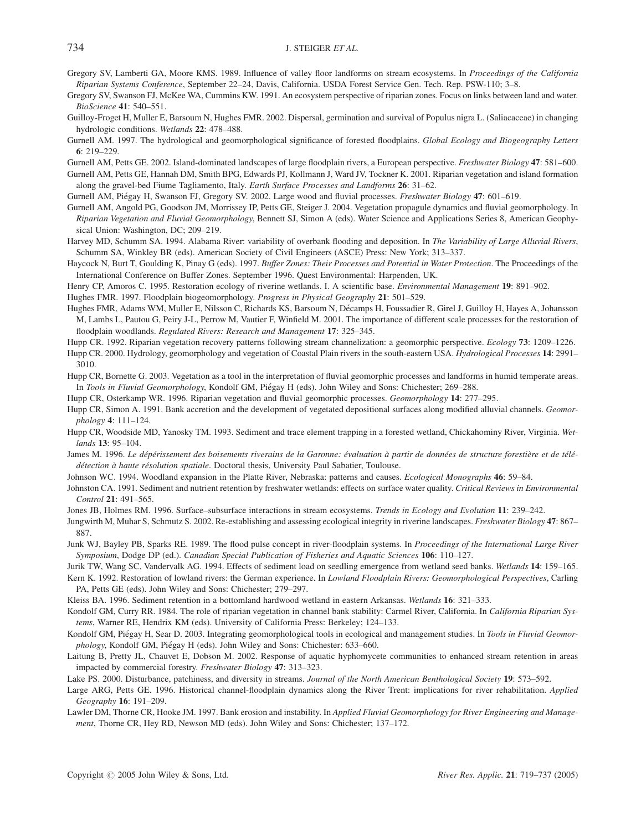- Gregory SV, Lamberti GA, Moore KMS. 1989. Influence of valley floor landforms on stream ecosystems. In Proceedings of the California Riparian Systems Conference, September 22–24, Davis, California. USDA Forest Service Gen. Tech. Rep. PSW-110; 3–8.
- Gregory SV, Swanson FJ, McKee WA, Cummins KW. 1991. An ecosystem perspective of riparian zones. Focus on links between land and water. BioScience 41: 540–551.
- Guilloy-Froget H, Muller E, Barsoum N, Hughes FMR. 2002. Dispersal, germination and survival of Populus nigra L. (Saliacaceae) in changing hydrologic conditions. Wetlands 22: 478–488.
- Gurnell AM. 1997. The hydrological and geomorphological significance of forested floodplains. Global Ecology and Biogeography Letters 6: 219–229.
- Gurnell AM, Petts GE. 2002. Island-dominated landscapes of large floodplain rivers, a European perspective. Freshwater Biology 47: 581–600.
- Gurnell AM, Petts GE, Hannah DM, Smith BPG, Edwards PJ, Kollmann J, Ward JV, Tockner K. 2001. Riparian vegetation and island formation along the gravel-bed Fiume Tagliamento, Italy. Earth Surface Processes and Landforms 26: 31–62.
- Gurnell AM, Piégay H, Swanson FJ, Gregory SV. 2002. Large wood and fluvial processes. Freshwater Biology 47: 601-619.
- Gurnell AM, Angold PG, Goodson JM, Morrissey IP, Petts GE, Steiger J. 2004. Vegetation propagule dynamics and fluvial geomorphology. In Riparian Vegetation and Fluvial Geomorphology, Bennett SJ, Simon A (eds). Water Science and Applications Series 8, American Geophysical Union: Washington, DC; 209–219.
- Harvey MD, Schumm SA, 1994. Alabama River: variability of overbank flooding and deposition. In The Variability of Large Alluvial Rivers, Schumm SA, Winkley BR (eds). American Society of Civil Engineers (ASCE) Press: New York; 313–337.
- Haycock N, Burt T, Goulding K, Pinay G (eds). 1997. Buffer Zones: Their Processes and Potential in Water Protection. The Proceedings of the International Conference on Buffer Zones. September 1996. Quest Environmental: Harpenden, UK.
- Henry CP, Amoros C. 1995. Restoration ecology of riverine wetlands. I. A scientific base. Environmental Management 19: 891-902.

Hughes FMR. 1997. Floodplain biogeomorphology. Progress in Physical Geography 21: 501–529.

- Hughes FMR, Adams WM, Muller E, Nilsson C, Richards KS, Barsoum N, Décamps H, Foussadier R, Girel J, Guilloy H, Hayes A, Johansson M, Lambs L, Pautou G, Peiry J-L, Perrow M, Vautier F, Winfield M. 2001. The importance of different scale processes for the restoration of floodplain woodlands. Regulated Rivers: Research and Management 17: 325–345.
- Hupp CR. 1992. Riparian vegetation recovery patterns following stream channelization: a geomorphic perspective. *Ecology* 73: 1209–1226.
- Hupp CR. 2000. Hydrology, geomorphology and vegetation of Coastal Plain rivers in the south-eastern USA. Hydrological Processes 14: 2991-3010.
- Hupp CR, Bornette G. 2003. Vegetation as a tool in the interpretation of fluvial geomorphic processes and landforms in humid temperate areas. In Tools in Fluvial Geomorphology, Kondolf GM, Piégay H (eds). John Wiley and Sons: Chichester; 269–288.
- Hupp CR, Osterkamp WR. 1996. Riparian vegetation and fluvial geomorphic processes. Geomorphology 14: 277–295.
- Hupp CR, Simon A. 1991. Bank accretion and the development of vegetated depositional surfaces along modified alluvial channels. Geomorphology 4: 111–124.
- Hupp CR, Woodside MD, Yanosky TM. 1993. Sediment and trace element trapping in a forested wetland, Chickahominy River, Virginia. Wetlands 13: 95–104.
- James M. 1996. Le dépérissement des boisements riverains de la Garonne: évaluation à partir de données de structure forestière et de télédétection à haute résolution spatiale. Doctoral thesis, University Paul Sabatier, Toulouse.
- Johnson WC. 1994. Woodland expansion in the Platte River, Nebraska: patterns and causes. Ecological Monographs 46: 59–84.
- Johnston CA. 1991. Sediment and nutrient retention by freshwater wetlands: effects on surface water quality. Critical Reviews in Environmental Control 21: 491–565.
- Jones JB, Holmes RM. 1996. Surface–subsurface interactions in stream ecosystems. Trends in Ecology and Evolution 11: 239–242.
- Jungwirth M, Muhar S, Schmutz S. 2002. Re-establishing and assessing ecological integrity in riverine landscapes. Freshwater Biology 47: 867– 887.
- Junk WJ, Bayley PB, Sparks RE. 1989. The flood pulse concept in river-floodplain systems. In Proceedings of the International Large River Symposium, Dodge DP (ed.). Canadian Special Publication of Fisheries and Aquatic Sciences 106: 110–127.

Jurik TW, Wang SC, Vandervalk AG. 1994. Effects of sediment load on seedling emergence from wetland seed banks. Wetlands 14: 159–165. Kern K. 1992. Restoration of lowland rivers: the German experience. In Lowland Floodplain Rivers: Geomorphological Perspectives, Carling

PA, Petts GE (eds). John Wiley and Sons: Chichester; 279–297.

Kleiss BA. 1996. Sediment retention in a bottomland hardwood wetland in eastern Arkansas. Wetlands 16: 321–333.

- Kondolf GM, Curry RR. 1984. The role of riparian vegetation in channel bank stability: Carmel River, California. In California Riparian Systems, Warner RE, Hendrix KM (eds). University of California Press: Berkeley; 124–133.
- Kondolf GM, Piégay H, Sear D. 2003. Integrating geomorphological tools in ecological and management studies. In Tools in Fluvial Geomorphology, Kondolf GM, Piégay H (eds). John Wiley and Sons: Chichester: 633–660.
- Laitung B, Pretty JL, Chauvet E, Dobson M. 2002. Response of aquatic hyphomycete communities to enhanced stream retention in areas impacted by commercial forestry. Freshwater Biology 47: 313–323.
- Lake PS. 2000. Disturbance, patchiness, and diversity in streams. Journal of the North American Benthological Society 19: 573-592.
- Large ARG, Petts GE. 1996. Historical channel-floodplain dynamics along the River Trent: implications for river rehabilitation. Applied Geography 16: 191–209.
- Lawler DM, Thorne CR, Hooke JM. 1997. Bank erosion and instability. In Applied Fluvial Geomorphology for River Engineering and Management, Thorne CR, Hey RD, Newson MD (eds). John Wiley and Sons: Chichester; 137–172.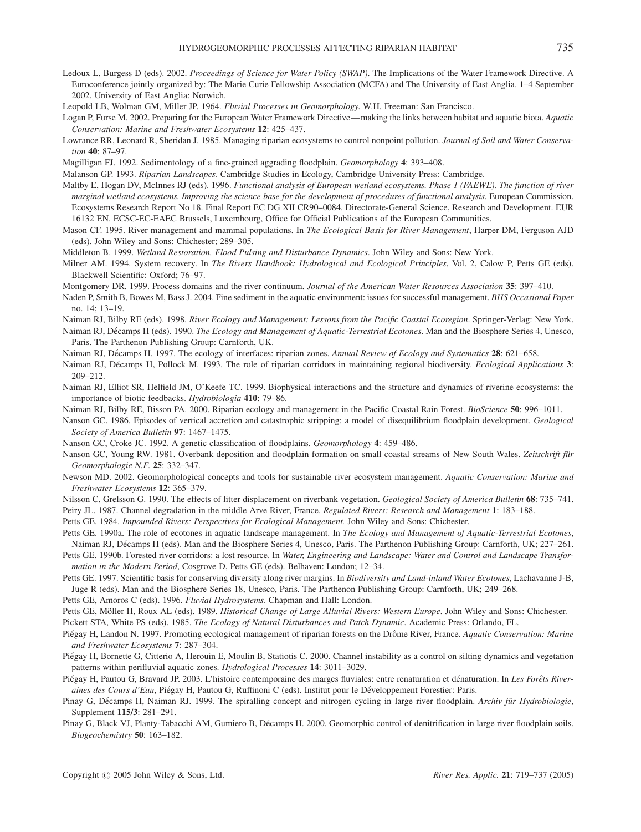Ledoux L, Burgess D (eds). 2002. Proceedings of Science for Water Policy (SWAP). The Implications of the Water Framework Directive. A Euroconference jointly organized by: The Marie Curie Fellowship Association (MCFA) and The University of East Anglia. 1–4 September 2002. University of East Anglia: Norwich.

Leopold LB, Wolman GM, Miller JP. 1964. Fluvial Processes in Geomorphology. W.H. Freeman: San Francisco.

- Logan P, Furse M. 2002. Preparing for the European Water Framework Directive—making the links between habitat and aquatic biota. Aquatic Conservation: Marine and Freshwater Ecosystems 12: 425–437.
- Lowrance RR, Leonard R, Sheridan J. 1985. Managing riparian ecosystems to control nonpoint pollution. Journal of Soil and Water Conservation 40: 87–97.

Magilligan FJ. 1992. Sedimentology of a fine-grained aggrading floodplain. Geomorphology 4: 393–408.

Malanson GP. 1993. Riparian Landscapes. Cambridge Studies in Ecology, Cambridge University Press: Cambridge.

- Maltby E, Hogan DV, McInnes RJ (eds). 1996. Functional analysis of European wetland ecosystems. Phase 1 (FAEWE). The function of river marginal wetland ecosystems. Improving the science base for the development of procedures of functional analysis. European Commission. Ecosystems Research Report No 18. Final Report EC DG XII CR90–0084. Directorate-General Science, Research and Development. EUR 16132 EN. ECSC-EC-EAEC Brussels, Luxembourg, Office for Official Publications of the European Communities.
- Mason CF. 1995. River management and mammal populations. In *The Ecological Basis for River Management*, Harper DM, Ferguson AJD (eds). John Wiley and Sons: Chichester; 289–305.

Middleton B. 1999. Wetland Restoration, Flood Pulsing and Disturbance Dynamics. John Wiley and Sons: New York.

Milner AM. 1994. System recovery. In The Rivers Handbook: Hydrological and Ecological Principles, Vol. 2, Calow P, Petts GE (eds). Blackwell Scientific: Oxford; 76–97.

Montgomery DR. 1999. Process domains and the river continuum. Journal of the American Water Resources Association 35: 397-410.

- Naden P, Smith B, Bowes M, Bass J. 2004. Fine sediment in the aquatic environment: issues for successful management. BHS Occasional Paper no.  $14 \cdot 13 - 19$ .
- Naiman RJ, Bilby RE (eds). 1998. River Ecology and Management: Lessons from the Pacific Coastal Ecoregion. Springer-Verlag: New York.
- Naiman RJ, Décamps H (eds). 1990. The Ecology and Management of Aquatic-Terrestrial Ecotones. Man and the Biosphere Series 4, Unesco, Paris. The Parthenon Publishing Group: Carnforth, UK.
- Naiman RJ, Décamps H. 1997. The ecology of interfaces: riparian zones. Annual Review of Ecology and Systematics 28: 621-658.
- Naiman RJ, Décamps H, Pollock M. 1993. The role of riparian corridors in maintaining regional biodiversity. *Ecological Applications* 3: 209–212.
- Naiman RJ, Elliot SR, Helfield JM, O'Keefe TC. 1999. Biophysical interactions and the structure and dynamics of riverine ecosystems: the importance of biotic feedbacks. Hydrobiologia 410: 79–86.
- Naiman RJ, Bilby RE, Bisson PA. 2000. Riparian ecology and management in the Pacific Coastal Rain Forest. BioScience 50: 996-1011.
- Nanson GC. 1986. Episodes of vertical accretion and catastrophic stripping: a model of disequilibrium floodplain development. Geological Society of America Bulletin 97: 1467-1475.
- Nanson GC, Croke JC. 1992. A genetic classification of floodplains. Geomorphology 4: 459–486.
- Nanson GC, Young RW. 1981. Overbank deposition and floodplain formation on small coastal streams of New South Wales. Zeitschrift für Geomorphologie N.F. 25: 332–347.
- Newson MD. 2002. Geomorphological concepts and tools for sustainable river ecosystem management. Aquatic Conservation: Marine and Freshwater Ecosystems 12: 365–379.
- Nilsson C, Grelsson G. 1990. The effects of litter displacement on riverbank vegetation. Geological Society of America Bulletin 68: 735–741.

Peiry JL. 1987. Channel degradation in the middle Arve River, France. Regulated Rivers: Research and Management 1: 183–188.

Petts GE. 1984. Impounded Rivers: Perspectives for Ecological Management. John Wiley and Sons: Chichester.

- Petts GE. 1990a. The role of ecotones in aquatic landscape management. In The Ecology and Management of Aquatic-Terrestrial Ecotones, Naiman RJ, Décamps H (eds). Man and the Biosphere Series 4, Unesco, Paris. The Parthenon Publishing Group: Carnforth, UK; 227–261.
- Petts GE. 1990b. Forested river corridors: a lost resource. In Water, Engineering and Landscape: Water and Control and Landscape Transformation in the Modern Period, Cosgrove D, Petts GE (eds). Belhaven: London; 12–34.
- Petts GE. 1997. Scientific basis for conserving diversity along river margins. In Biodiversity and Land-inland Water Ecotones, Lachavanne J-B, Juge R (eds). Man and the Biosphere Series 18, Unesco, Paris. The Parthenon Publishing Group: Carnforth, UK; 249–268.

Petts GE, Amoros C (eds). 1996. Fluvial Hydrosystems. Chapman and Hall: London.

Petts GE, Möller H, Roux AL (eds). 1989. Historical Change of Large Alluvial Rivers: Western Europe. John Wiley and Sons: Chichester.

Pickett STA, White PS (eds). 1985. The Ecology of Natural Disturbances and Patch Dynamic. Academic Press: Orlando, FL.

Piégay H, Landon N. 1997. Promoting ecological management of riparian forests on the Drôme River, France. Aquatic Conservation: Marine and Freshwater Ecosystems 7: 287–304.

Piégay H, Bornette G, Citterio A, Herouin E, Moulin B, Statiotis C. 2000. Channel instability as a control on silting dynamics and vegetation patterns within perifluvial aquatic zones. Hydrological Processes 14: 3011-3029.

- Piégay H, Pautou G, Bravard JP. 2003. L'histoire contemporaine des marges fluviales: entre renaturation et dénaturation. In Les Forêts Riveraines des Cours d'Eau, Piégay H, Pautou G, Ruffinoni C (eds). Institut pour le Développement Forestier: Paris.
- Pinay G, Décamps H, Naiman RJ. 1999. The spiralling concept and nitrogen cycling in large river floodplain. Archiv für Hydrobiologie, Supplement 115/3: 281–291.
- Pinay G, Black VJ, Planty-Tabacchi AM, Gumiero B, Décamps H. 2000. Geomorphic control of denitrification in large river floodplain soils. Biogeochemistry 50: 163–182.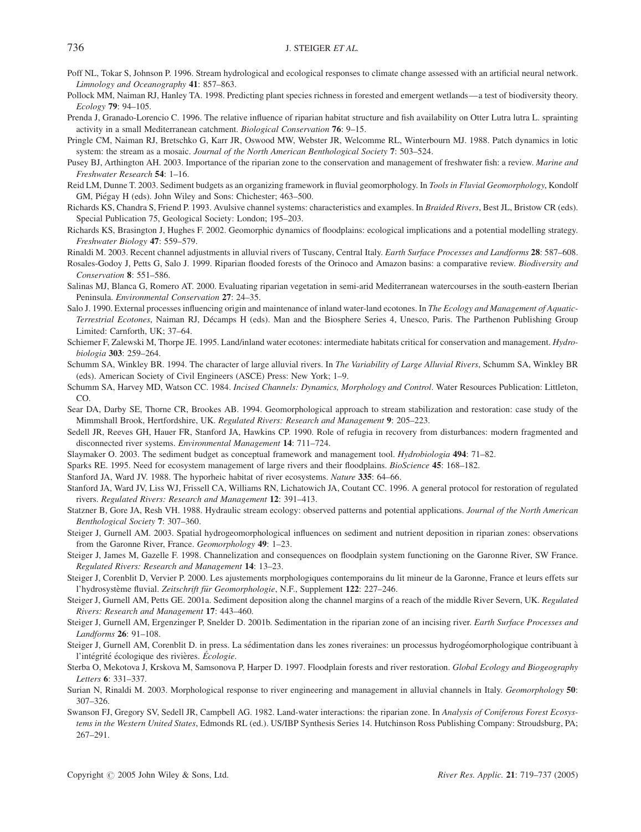- Poff NL, Tokar S, Johnson P. 1996. Stream hydrological and ecological responses to climate change assessed with an artificial neural network. Limnology and Oceanography 41: 857–863.
- Pollock MM, Naiman RJ, Hanley TA. 1998. Predicting plant species richness in forested and emergent wetlands—a test of biodiversity theory. Ecology 79: 94–105.
- Prenda J, Granado-Lorencio C. 1996. The relative influence of riparian habitat structure and fish availability on Otter Lutra lutra L. sprainting activity in a small Mediterranean catchment. Biological Conservation 76: 9–15.
- Pringle CM, Naiman RJ, Bretschko G, Karr JR, Oswood MW, Webster JR, Welcomme RL, Winterbourn MJ. 1988. Patch dynamics in lotic system: the stream as a mosaic. Journal of the North American Benthological Society 7: 503-524.
- Pusey BJ, Arthington AH. 2003. Importance of the riparian zone to the conservation and management of freshwater fish: a review. Marine and Freshwater Research 54: 1–16.
- Reid LM, Dunne T. 2003. Sediment budgets as an organizing framework in fluvial geomorphology. In Tools in Fluvial Geomorphology, Kondolf GM, Piégay H (eds). John Wiley and Sons: Chichester; 463-500.
- Richards KS, Chandra S, Friend P. 1993. Avulsive channel systems: characteristics and examples. In Braided Rivers, Best JL, Bristow CR (eds). Special Publication 75, Geological Society: London; 195–203.
- Richards KS, Brasington J, Hughes F. 2002. Geomorphic dynamics of floodplains: ecological implications and a potential modelling strategy. Freshwater Biology 47: 559–579.
- Rinaldi M. 2003. Recent channel adjustments in alluvial rivers of Tuscany, Central Italy. Earth Surface Processes and Landforms 28: 587-608.
- Rosales-Godoy J, Petts G, Salo J. 1999. Riparian flooded forests of the Orinoco and Amazon basins: a comparative review. Biodiversity and Conservation 8: 551–586.
- Salinas MJ, Blanca G, Romero AT. 2000. Evaluating riparian vegetation in semi-arid Mediterranean watercourses in the south-eastern Iberian Peninsula. Environmental Conservation 27: 24–35.
- Salo J. 1990. External processes influencing origin and maintenance of inland water-land ecotones. In The Ecology and Management of Aquatic-Terrestrial Ecotones, Naiman RJ, Décamps H (eds). Man and the Biosphere Series 4, Unesco, Paris. The Parthenon Publishing Group Limited: Carnforth, UK; 37–64.
- Schiemer F, Zalewski M, Thorpe JE. 1995. Land/inland water ecotones: intermediate habitats critical for conservation and management. Hydrobiologia 303: 259–264.
- Schumm SA, Winkley BR. 1994. The character of large alluvial rivers. In The Variability of Large Alluvial Rivers, Schumm SA, Winkley BR (eds). American Society of Civil Engineers (ASCE) Press: New York; 1–9.
- Schumm SA, Harvey MD, Watson CC. 1984. Incised Channels: Dynamics, Morphology and Control. Water Resources Publication: Littleton, CO.
- Sear DA, Darby SE, Thorne CR, Brookes AB. 1994. Geomorphological approach to stream stabilization and restoration: case study of the Mimmshall Brook, Hertfordshire, UK. Regulated Rivers: Research and Management 9: 205–223.
- Sedell JR, Reeves GH, Hauer FR, Stanford JA, Hawkins CP. 1990. Role of refugia in recovery from disturbances: modern fragmented and disconnected river systems. Environmental Management 14: 711–724.
- Slaymaker O. 2003. The sediment budget as conceptual framework and management tool. Hydrobiologia 494: 71–82.
- Sparks RE. 1995. Need for ecosystem management of large rivers and their floodplains. BioScience 45: 168–182.
- Stanford JA, Ward JV. 1988. The hyporheic habitat of river ecosystems. Nature 335: 64–66.
- Stanford JA, Ward JV, Liss WJ, Frissell CA, Williams RN, Lichatowich JA, Coutant CC. 1996. A general protocol for restoration of regulated rivers. Regulated Rivers: Research and Management 12: 391–413.
- Statzner B, Gore JA, Resh VH. 1988. Hydraulic stream ecology: observed patterns and potential applications. Journal of the North American Benthological Society 7: 307–360.
- Steiger J, Gurnell AM. 2003. Spatial hydrogeomorphological influences on sediment and nutrient deposition in riparian zones: observations from the Garonne River, France. Geomorphology 49: 1–23.
- Steiger J, James M, Gazelle F. 1998. Channelization and consequences on floodplain system functioning on the Garonne River, SW France. Regulated Rivers: Research and Management 14: 13–23.
- Steiger J, Corenblit D, Vervier P. 2000. Les ajustements morphologiques contemporains du lit mineur de la Garonne, France et leurs effets sur l'hydrosystème fluvial. Zeitschrift für Geomorphologie, N.F., Supplement 122: 227–246.
- Steiger J, Gurnell AM, Petts GE. 2001a. Sediment deposition along the channel margins of a reach of the middle River Severn, UK. Regulated Rivers: Research and Management 17: 443–460.
- Steiger J, Gurnell AM, Ergenzinger P, Snelder D. 2001b. Sedimentation in the riparian zone of an incising river. Earth Surface Processes and Landforms 26: 91–108.
- Steiger J, Gurnell AM, Corenblit D. in press. La sédimentation dans les zones riveraines: un processus hydrogéomorphologique contribuant à l'intégrité écologique des rivières. Écologie.
- Sterba O, Mekotova J, Krskova M, Samsonova P, Harper D. 1997. Floodplain forests and river restoration. Global Ecology and Biogeography Letters 6: 331–337.
- Surian N, Rinaldi M. 2003. Morphological response to river engineering and management in alluvial channels in Italy. Geomorphology 50: 307–326.
- Swanson FJ, Gregory SV, Sedell JR, Campbell AG. 1982. Land-water interactions: the riparian zone. In Analysis of Coniferous Forest Ecosystems in the Western United States, Edmonds RL (ed.). US/IBP Synthesis Series 14. Hutchinson Ross Publishing Company: Stroudsburg, PA; 267–291.